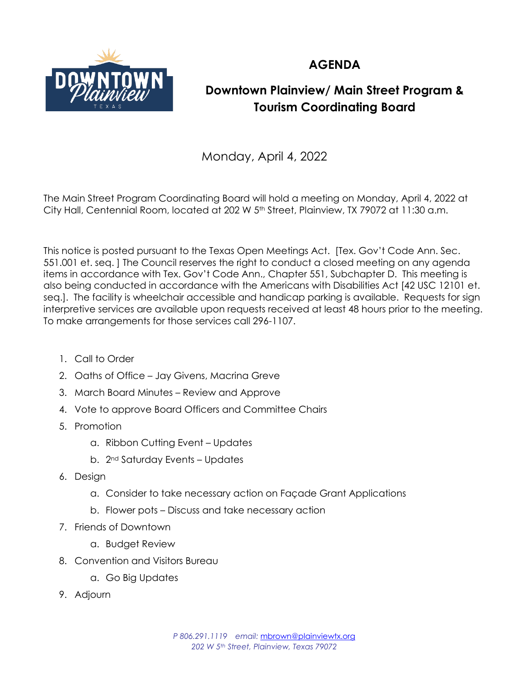

## **AGENDA**

## **Downtown Plainview/ Main Street Program & Tourism Coordinating Board**

Monday, April 4, 2022

The Main Street Program Coordinating Board will hold a meeting on Monday, April 4, 2022 at City Hall, Centennial Room, located at 202 W 5<sup>th</sup> Street, Plainview, TX 79072 at 11:30 a.m.

This notice is posted pursuant to the Texas Open Meetings Act. [Tex. Gov't Code Ann. Sec. 551.001 et. seq. ] The Council reserves the right to conduct a closed meeting on any agenda items in accordance with Tex. Gov't Code Ann., Chapter 551, Subchapter D. This meeting is also being conducted in accordance with the Americans with Disabilities Act [42 USC 12101 et. seq.]. The facility is wheelchair accessible and handicap parking is available. Requests for sign interpretive services are available upon requests received at least 48 hours prior to the meeting. To make arrangements for those services call 296-1107.

- 1. Call to Order
- 2. Oaths of Office Jay Givens, Macrina Greve
- 3. March Board Minutes Review and Approve
- 4. Vote to approve Board Officers and Committee Chairs
- 5. Promotion
	- a. Ribbon Cutting Event Updates
	- b. 2nd Saturday Events Updates
- 6. Design
	- a. Consider to take necessary action on Façade Grant Applications
	- b. Flower pots Discuss and take necessary action
- 7. Friends of Downtown
	- a. Budget Review
- 8. Convention and Visitors Bureau
	- a. Go Big Updates
- 9. Adjourn